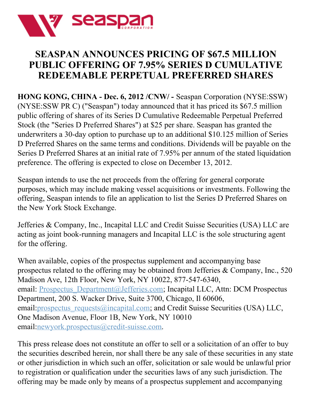

## **SEASPAN ANNOUNCES PRICING OF \$67.5 MILLION PUBLIC OFFERING OF 7.95% SERIES D CUMULATIVE REDEEMABLE PERPETUAL PREFERRED SHARES**

**HONG KONG, CHINA - Dec. 6, 2012 /CNW/ -** Seaspan Corporation (NYSE:SSW) (NYSE:SSW PR C) ("Seaspan") today announced that it has priced its \$67.5 million public offering of shares of its Series D Cumulative Redeemable Perpetual Preferred Stock (the "Series D Preferred Shares") at \$25 per share. Seaspan has granted the underwriters a 30-day option to purchase up to an additional \$10.125 million of Series D Preferred Shares on the same terms and conditions. Dividends will be payable on the Series D Preferred Shares at an initial rate of 7.95% per annum of the stated liquidation preference. The offering is expected to close on December 13, 2012.

Seaspan intends to use the net proceeds from the offering for general corporate purposes, which may include making vessel acquisitions or investments. Following the offering, Seaspan intends to file an application to list the Series D Preferred Shares on the New York Stock Exchange.

Jefferies & Company, Inc., Incapital LLC and Credit Suisse Securities (USA) LLC are acting as joint book-running managers and Incapital LLC is the sole structuring agent for the offering.

When available, copies of the prospectus supplement and accompanying base prospectus related to the offering may be obtained from Jefferies & Company, Inc., 520 Madison Ave, 12th Floor, New York, NY 10022, 877-547-6340, email: Prospectus Department@Jefferies.com; Incapital LLC, Attn: DCM Prospectus Department, 200 S. Wacker Drive, Suite 3700, Chicago, Il 60606, email: prospectus\_requests@incapital.com; and Credit Suisse Securities (USA) LLC, One Madison Avenue, Floor 1B, New York, NY 10010 email[:newyork.prospectus@credit-suisse.com](mailto:newyork.prospectus@credit-suisse.com).

This press release does not constitute an offer to sell or a solicitation of an offer to buy the securities described herein, nor shall there be any sale of these securities in any state or other jurisdiction in which such an offer, solicitation or sale would be unlawful prior to registration or qualification under the securities laws of any such jurisdiction. The offering may be made only by means of a prospectus supplement and accompanying